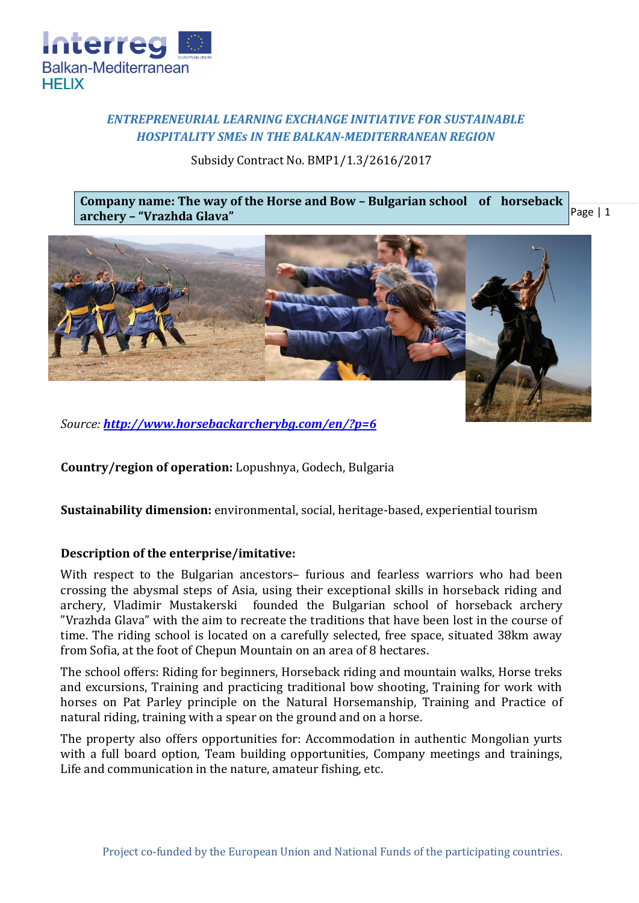

# *ENTREPRENEURIAL LEARNING EXCHANGE INITIATIVE FOR SUSTAINABLE HOSPITALITY SMEs IN THE BALKAN-MEDITERRANEAN REGION*

Subsidy Contract No. BMP1/1.3/2616/2017

Page | 1 **Company name: The way of the Horse and Bow – Bulgarian school of horseback archery – "Vrazhda Glava"**



*Source: <http://www.horsebackarcherybg.com/en/?p=6>*

**Country/region of operation:** Lopushnya, Godech, Bulgaria

**Sustainability dimension:** environmental, social, heritage-based, experiential tourism

### **Description of the enterprise/imitative:**

With respect to the Bulgarian ancestors– furious and fearless warriors who had been crossing the abysmal steps of Asia, using their exceptional skills in horseback riding and archery, Vladimir Mustakerski founded the Bulgarian school of horseback archery "Vrazhda Glava" with the aim to recreate the traditions that have been lost in the course of time. The riding school is located on a carefully selected, free space, situated 38km away from Sofia, at the foot of Chepun Mountain on an area of 8 hectares.

The school offers: Riding for beginners, Horseback riding and mountain walks, Horse treks and excursions, Training and practicing traditional bow shooting, Training for work with horses on Pat Parley principle on the Natural Horsemanship, Training and Practice of natural riding, training with a spear on the ground and on a horse.

The property also offers opportunities for: Accommodation in authentic Mongolian yurts with a full board option, Team building opportunities, Company meetings and trainings, Life and communication in the nature, amateur fishing, etc.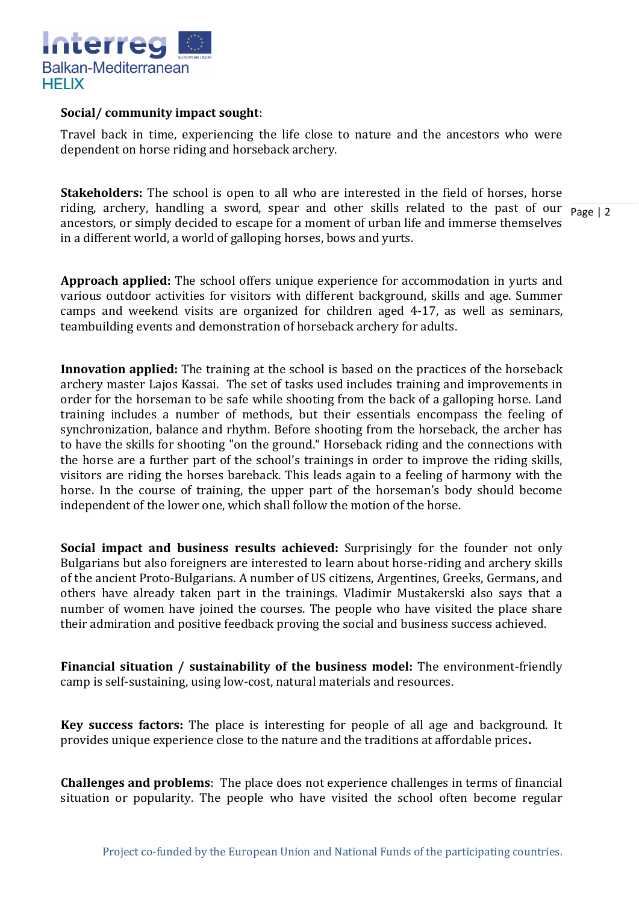

#### **Social/ community impact sought**:

Travel back in time, experiencing the life close to nature and the ancestors who were dependent on horse riding and horseback archery.

riding, archery, handling a sword, spear and other skills related to the past of our  $\frac{1}{\text{Page } |2}$ **Stakeholders:** The school is open to all who are interested in the field of horses, horse ancestors, or simply decided to escape for a moment of urban life and immerse themselves in a different world, a world of galloping horses, bows and yurts.

**Approach applied:** The school offers unique experience for accommodation in yurts and various outdoor activities for visitors with different background, skills and age. Summer camps and weekend visits are organized for children aged 4-17, as well as seminars, teambuilding events and demonstration of horseback archery for adults.

**Innovation applied:** The training at the school is based on the practices of the horseback archery master Lajos Kassai. The set of tasks used includes training and improvements in order for the horseman to be safe while shooting from the back of a galloping horse. Land training includes a number of methods, but their essentials encompass the feeling of synchronization, balance and rhythm. Before shooting from the horseback, the archer has to have the skills for shooting "on the ground." Horseback riding and the connections with the horse are a further part of the school's trainings in order to improve the riding skills, visitors are riding the horses bareback. This leads again to a feeling of harmony with the horse. In the course of training, the upper part of the horseman's body should become independent of the lower one, which shall follow the motion of the horse.

**Social impact and business results achieved:** Surprisingly for the founder not only Bulgarians but also foreigners are interested to learn about horse-riding and archery skills of the ancient Proto-Bulgarians. A number of US citizens, Argentines, Greeks, Germans, and others have already taken part in the trainings. Vladimir Mustakerski also says that a number of women have joined the courses. The people who have visited the place share their admiration and positive feedback proving the social and business success achieved.

**Financial situation / sustainability of the business model:** The environment-friendly camp is self-sustaining, using low-cost, natural materials and resources.

**Key success factors:** The place is interesting for people of all age and background. It provides unique experience close to the nature and the traditions at affordable prices**.**

**Challenges and problems**: The place does not experience challenges in terms of financial situation or popularity. The people who have visited the school often become regular